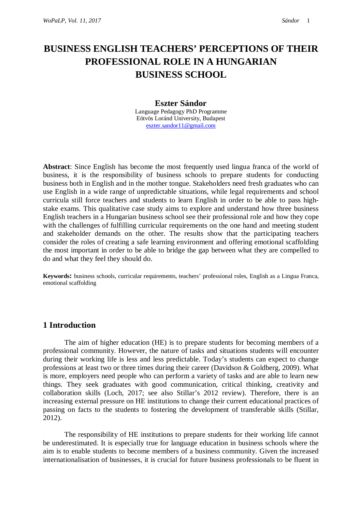# **BUSINESS ENGLISH TEACHERS' PERCEPTIONS OF THEIR PROFESSIONAL ROLE IN A HUNGARIAN BUSINESS SCHOOL**

#### **Eszter Sándor**

Language Pedagogy PhD Programme Eötvös Loránd University, Budapest [eszter.sandor11@gmail.com](mailto:eszter.sandor11@gmail.com)

**Abstract**: Since English has become the most frequently used lingua franca of the world of business, it is the responsibility of business schools to prepare students for conducting business both in English and in the mother tongue. Stakeholders need fresh graduates who can use English in a wide range of unpredictable situations, while legal requirements and school curricula still force teachers and students to learn English in order to be able to pass highstake exams. This qualitative case study aims to explore and understand how three business English teachers in a Hungarian business school see their professional role and how they cope with the challenges of fulfilling curricular requirements on the one hand and meeting student and stakeholder demands on the other. The results show that the participating teachers consider the roles of creating a safe learning environment and offering emotional scaffolding the most important in order to be able to bridge the gap between what they are compelled to do and what they feel they should do.

**Keywords:** business schools, curricular requirements, teachers' professional roles, English as a Lingua Franca, emotional scaffolding

# **1 Introduction**

The aim of higher education (HE) is to prepare students for becoming members of a professional community. However, the nature of tasks and situations students will encounter during their working life is less and less predictable. Today's students can expect to change professions at least two or three times during their career (Davidson & Goldberg, 2009). What is more, employers need people who can perform a variety of tasks and are able to learn new things. They seek graduates with good communication, critical thinking, creativity and collaboration skills (Loch, 2017; see also Stillar's 2012 review). Therefore, there is an increasing external pressure on HE institutions to change their current educational practices of passing on facts to the students to fostering the development of transferable skills (Stillar, 2012).

The responsibility of HE institutions to prepare students for their working life cannot be underestimated. It is especially true for language education in business schools where the aim is to enable students to become members of a business community. Given the increased internationalisation of businesses, it is crucial for future business professionals to be fluent in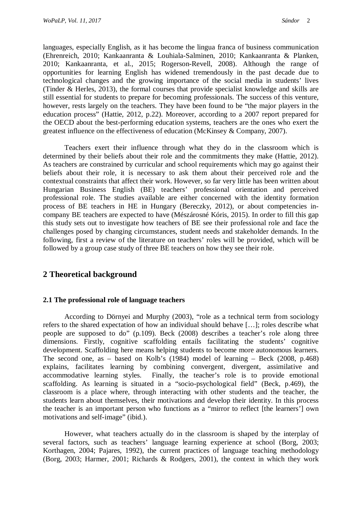languages, especially English, as it has become the lingua franca of business communication (Ehrenreich, 2010; Kankaanranta & Louhiala-Salminen, 2010; Kankaanranta & Planken, 2010; Kankaanranta, et al., 2015; Rogerson-Revell, 2008). Although the range of opportunities for learning English has widened tremendously in the past decade due to technological changes and the growing importance of the social media in students' lives (Tinder & Herles, 2013), the formal courses that provide specialist knowledge and skills are still essential for students to prepare for becoming professionals. The success of this venture, however, rests largely on the teachers. They have been found to be "the major players in the education process" (Hattie, 2012, p.22). Moreover, according to a 2007 report prepared for the OECD about the best-performing education systems, teachers are the ones who exert the greatest influence on the effectiveness of education (McKinsey & Company, 2007).

Teachers exert their influence through what they do in the classroom which is determined by their beliefs about their role and the commitments they make (Hattie, 2012). As teachers are constrained by curricular and school requirements which may go against their beliefs about their role, it is necessary to ask them about their perceived role and the contextual constraints that affect their work. However, so far very little has been written about Hungarian Business English (BE) teachers' professional orientation and perceived professional role. The studies available are either concerned with the identity formation process of BE teachers in HE in Hungary (Bereczky, 2012), or about competencies incompany BE teachers are expected to have (Mészárosné Kóris, 2015). In order to fill this gap this study sets out to investigate how teachers of BE see their professional role and face the challenges posed by changing circumstances, student needs and stakeholder demands. In the following, first a review of the literature on teachers' roles will be provided, which will be followed by a group case study of three BE teachers on how they see their role.

# **2 Theoretical background**

#### **2.1 The professional role of language teachers**

According to Dörnyei and Murphy (2003), "role as a technical term from sociology refers to the shared expectation of how an individual should behave […]; roles describe what people are supposed to do" (p.109). Beck (2008) describes a teacher's role along three dimensions. Firstly, cognitive scaffolding entails facilitating the students' cognitive development. Scaffolding here means helping students to become more autonomous learners. The second one, as – based on Kolb's (1984) model of learning – Beck (2008, p.468) explains, facilitates learning by combining convergent, divergent, assimilative and accommodative learning styles. Finally, the teacher's role is to provide emotional scaffolding. As learning is situated in a "socio-psychological field" (Beck, p.469), the classroom is a place where, through interacting with other students and the teacher, the students learn about themselves, their motivations and develop their identity. In this process the teacher is an important person who functions as a "mirror to reflect [the learners'] own motivations and self-image" (ibid.).

However, what teachers actually do in the classroom is shaped by the interplay of several factors, such as teachers' language learning experience at school (Borg, 2003; Korthagen, 2004; Pajares, 1992), the current practices of language teaching methodology (Borg, 2003; Harmer, 2001; Richards & Rodgers, 2001), the context in which they work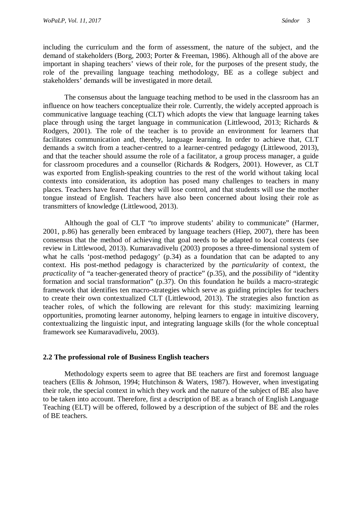including the curriculum and the form of assessment, the nature of the subject, and the demand of stakeholders (Borg, 2003; Porter & Freeman, 1986). Although all of the above are important in shaping teachers' views of their role, for the purposes of the present study, the role of the prevailing language teaching methodology, BE as a college subject and stakeholders' demands will be investigated in more detail.

The consensus about the language teaching method to be used in the classroom has an influence on how teachers conceptualize their role. Currently, the widely accepted approach is communicative language teaching (CLT) which adopts the view that language learning takes place through using the target language in communication (Littlewood, 2013; Richards & Rodgers, 2001). The role of the teacher is to provide an environment for learners that facilitates communication and, thereby, language learning. In order to achieve that, CLT demands a switch from a teacher-centred to a learner-centred pedagogy (Littlewood, 2013), and that the teacher should assume the role of a facilitator, a group process manager, a guide for classroom procedures and a counsellor (Richards & Rodgers, 2001). However, as CLT was exported from English-speaking countries to the rest of the world without taking local contexts into consideration, its adoption has posed many challenges to teachers in many places. Teachers have feared that they will lose control, and that students will use the mother tongue instead of English. Teachers have also been concerned about losing their role as transmitters of knowledge (Littlewood, 2013).

Although the goal of CLT "to improve students' ability to communicate" (Harmer, 2001, p.86) has generally been embraced by language teachers (Hiep, 2007), there has been consensus that the method of achieving that goal needs to be adapted to local contexts (see review in Littlewood, 2013). Kumaravadivelu (2003) proposes a three-dimensional system of what he calls 'post-method pedagogy' (p.34) as a foundation that can be adapted to any context. His post-method pedagogy is characterized by the *particularity* of context, the *practicality* of "a teacher-generated theory of practice" (p.35), and the *possibility* of "identity formation and social transformation" (p.37). On this foundation he builds a macro-strategic framework that identifies ten macro-strategies which serve as guiding principles for teachers to create their own contextualized CLT (Littlewood, 2013). The strategies also function as teacher roles, of which the following are relevant for this study: maximizing learning opportunities, promoting learner autonomy, helping learners to engage in intuitive discovery, contextualizing the linguistic input, and integrating language skills (for the whole conceptual framework see Kumaravadivelu, 2003).

#### **2.2 The professional role of Business English teachers**

Methodology experts seem to agree that BE teachers are first and foremost language teachers (Ellis & Johnson, 1994; Hutchinson & Waters, 1987). However, when investigating their role, the special context in which they work and the nature of the subject of BE also have to be taken into account. Therefore, first a description of BE as a branch of English Language Teaching (ELT) will be offered, followed by a description of the subject of BE and the roles of BE teachers.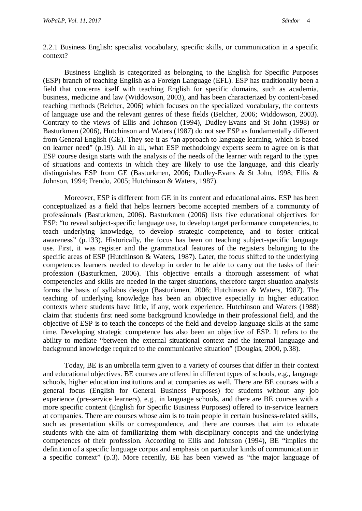2.2.1 Business English: specialist vocabulary, specific skills, or communication in a specific context?

Business English is categorized as belonging to the English for Specific Purposes (ESP) branch of teaching English as a Foreign Language (EFL). ESP has traditionally been a field that concerns itself with teaching English for specific domains, such as academia, business, medicine and law (Widdowson, 2003), and has been characterized by content-based teaching methods (Belcher, 2006) which focuses on the specialized vocabulary, the contexts of language use and the relevant genres of these fields (Belcher, 2006; Widdowson, 2003). Contrary to the views of Ellis and Johnson (1994), Dudley-Evans and St John (1998) or Basturkmen (2006), Hutchinson and Waters (1987) do not see ESP as fundamentally different from General English (GE). They see it as "an approach to language learning, which is based on learner need" (p.19). All in all, what ESP methodology experts seem to agree on is that ESP course design starts with the analysis of the needs of the learner with regard to the types of situations and contexts in which they are likely to use the language, and this clearly distinguishes ESP from GE (Basturkmen, 2006; Dudley-Evans & St John, 1998; Ellis & Johnson, 1994; Frendo, 2005; Hutchinson & Waters, 1987).

Moreover, ESP is different from GE in its content and educational aims. ESP has been conceptualized as a field that helps learners become accepted members of a community of professionals (Basturkmen, 2006). Basturkmen (2006) lists five educational objectives for ESP: "to reveal subject-specific language use, to develop target performance competencies, to teach underlying knowledge, to develop strategic competence, and to foster critical awareness" (p.133). Historically, the focus has been on teaching subject-specific language use. First, it was register and the grammatical features of the registers belonging to the specific areas of ESP (Hutchinson & Waters, 1987). Later, the focus shifted to the underlying competences learners needed to develop in order to be able to carry out the tasks of their profession (Basturkmen, 2006). This objective entails a thorough assessment of what competencies and skills are needed in the target situations, therefore target situation analysis forms the basis of syllabus design (Basturkmen, 2006; Hutchinson & Waters, 1987). The teaching of underlying knowledge has been an objective especially in higher education contexts where students have little, if any, work experience. Hutchinson and Waters (1988) claim that students first need some background knowledge in their professional field, and the objective of ESP is to teach the concepts of the field and develop language skills at the same time. Developing strategic competence has also been an objective of ESP. It refers to the ability to mediate "between the external situational context and the internal language and background knowledge required to the communicative situation" (Douglas, 2000, p.38).

Today, BE is an umbrella term given to a variety of courses that differ in their context and educational objectives. BE courses are offered in different types of schools, e.g., language schools, higher education institutions and at companies as well. There are BE courses with a general focus (English for General Business Purposes) for students without any job experience (pre-service learners), e.g., in language schools, and there are BE courses with a more specific content (English for Specific Business Purposes) offered to in-service learners at companies. There are courses whose aim is to train people in certain business-related skills, such as presentation skills or correspondence, and there are courses that aim to educate students with the aim of familiarizing them with disciplinary concepts and the underlying competences of their profession. According to Ellis and Johnson (1994), BE "implies the definition of a specific language corpus and emphasis on particular kinds of communication in a specific context" (p.3). More recently, BE has been viewed as "the major language of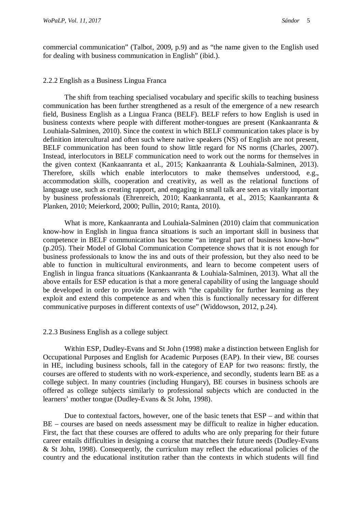commercial communication" (Talbot, 2009, p.9) and as "the name given to the English used for dealing with business communication in English" (ibid.).

#### 2.2.2 English as a Business Lingua Franca

The shift from teaching specialised vocabulary and specific skills to teaching business communication has been further strengthened as a result of the emergence of a new research field, Business English as a Lingua Franca (BELF). BELF refers to how English is used in business contexts where people with different mother-tongues are present (Kankaanranta & Louhiala-Salminen, 2010). Since the context in which BELF communication takes place is by definition intercultural and often such where native speakers (NS) of English are not present, BELF communication has been found to show little regard for NS norms (Charles, 2007). Instead, interlocutors in BELF communication need to work out the norms for themselves in the given context (Kankaanranta et al., 2015; Kankaanranta & Louhiala-Salminen, 2013). Therefore, skills which enable interlocutors to make themselves understood, e.g., accommodation skills, cooperation and creativity, as well as the relational functions of language use, such as creating rapport, and engaging in small talk are seen as vitally important by business professionals (Ehrenreich, 2010; Kaankanranta, et al., 2015; Kaankanranta & Planken, 2010; Meierkord, 2000; Pullin, 2010; Ranta, 2010).

What is more, Kankaanranta and Louhiala-Salminen (2010) claim that communication know-how in English in lingua franca situations is such an important skill in business that competence in BELF communication has become "an integral part of business know-how" (p.205). Their Model of Global Communication Competence shows that it is not enough for business professionals to know the ins and outs of their profession, but they also need to be able to function in multicultural environments, and learn to become competent users of English in lingua franca situations (Kankaanranta & Louhiala-Salminen, 2013). What all the above entails for ESP education is that a more general capability of using the language should be developed in order to provide learners with "the capability for further learning as they exploit and extend this competence as and when this is functionally necessary for different communicative purposes in different contexts of use" (Widdowson, 2012, p.24).

#### 2.2.3 Business English as a college subject

Within ESP, Dudley-Evans and St John (1998) make a distinction between English for Occupational Purposes and English for Academic Purposes (EAP). In their view, BE courses in HE, including business schools, fall in the category of EAP for two reasons: firstly, the courses are offered to students with no work-experience, and secondly, students learn BE as a college subject. In many countries (including Hungary), BE courses in business schools are offered as college subjects similarly to professional subjects which are conducted in the learners' mother tongue (Dudley-Evans & St John, 1998).

Due to contextual factors, however, one of the basic tenets that ESP – and within that BE – courses are based on needs assessment may be difficult to realize in higher education. First, the fact that these courses are offered to adults who are only preparing for their future career entails difficulties in designing a course that matches their future needs (Dudley-Evans & St John, 1998). Consequently, the curriculum may reflect the educational policies of the country and the educational institution rather than the contexts in which students will find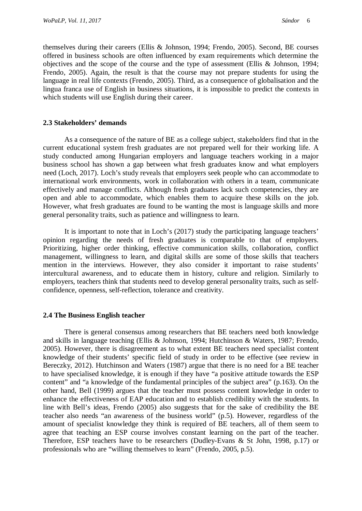themselves during their careers (Ellis & Johnson, 1994; Frendo, 2005). Second, BE courses offered in business schools are often influenced by exam requirements which determine the objectives and the scope of the course and the type of assessment (Ellis & Johnson, 1994; Frendo, 2005). Again, the result is that the course may not prepare students for using the language in real life contexts (Frendo, 2005). Third, as a consequence of globalisation and the lingua franca use of English in business situations, it is impossible to predict the contexts in which students will use English during their career.

#### **2.3 Stakeholders' demands**

As a consequence of the nature of BE as a college subject, stakeholders find that in the current educational system fresh graduates are not prepared well for their working life. A study conducted among Hungarian employers and language teachers working in a major business school has shown a gap between what fresh graduates know and what employers need (Loch, 2017). Loch's study reveals that employers seek people who can accommodate to international work environments, work in collaboration with others in a team, communicate effectively and manage conflicts. Although fresh graduates lack such competencies, they are open and able to accommodate, which enables them to acquire these skills on the job. However, what fresh graduates are found to be wanting the most is language skills and more general personality traits, such as patience and willingness to learn.

It is important to note that in Loch's (2017) study the participating language teachers' opinion regarding the needs of fresh graduates is comparable to that of employers. Prioritizing, higher order thinking, effective communication skills, collaboration, conflict management, willingness to learn, and digital skills are some of those skills that teachers mention in the interviews. However, they also consider it important to raise students' intercultural awareness, and to educate them in history, culture and religion. Similarly to employers, teachers think that students need to develop general personality traits, such as selfconfidence, openness, self-reflection, tolerance and creativity.

#### **2.4 The Business English teacher**

There is general consensus among researchers that BE teachers need both knowledge and skills in language teaching (Ellis & Johnson, 1994; Hutchinson & Waters, 1987; Frendo, 2005). However, there is disagreement as to what extent BE teachers need specialist content knowledge of their students' specific field of study in order to be effective (see review in Bereczky, 2012). Hutchinson and Waters (1987) argue that there is no need for a BE teacher to have specialised knowledge, it is enough if they have "a positive attitude towards the ESP content" and "a knowledge of the fundamental principles of the subject area" (p.163). On the other hand, Bell (1999) argues that the teacher must possess content knowledge in order to enhance the effectiveness of EAP education and to establish credibility with the students. In line with Bell's ideas, Frendo (2005) also suggests that for the sake of credibility the BE teacher also needs "an awareness of the business world" (p.5). However, regardless of the amount of specialist knowledge they think is required of BE teachers, all of them seem to agree that teaching an ESP course involves constant learning on the part of the teacher. Therefore, ESP teachers have to be researchers (Dudley-Evans & St John, 1998, p.17) or professionals who are "willing themselves to learn" (Frendo, 2005, p.5).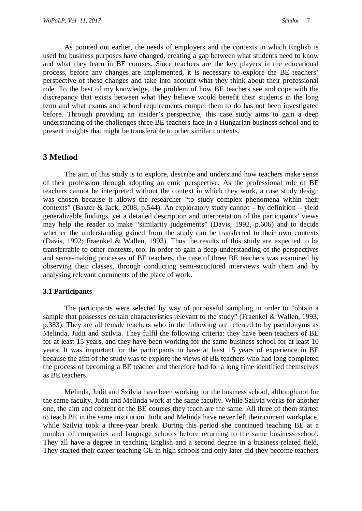As pointed out earlier, the needs of employers and the contexts in which English is used for business purposes have changed, creating a gap between what students need to know and what they learn in BE courses. Since teachers are the key players in the educational process, before any changes are implemented, it is necessary to explore the BE teachers' perspective of these changes and take into account what they think about their professional role. To the best of my knowledge, the problem of how BE teachers see and cope with the discrepancy that exists between what they believe would benefit their students in the long term and what exams and school requirements compel them to do has not been investigated before. Through providing an insider's perspective, this case study aims to gain a deep understanding of the challenges three BE teachers face in a Hungarian business school and to present insights that might be transferable to other similar contexts.

## **3 Method**

The aim of this study is to explore, describe and understand how teachers make sense of their profession through adopting an emic perspective. As the professional role of BE teachers cannot be interpreted without the context in which they work, a case study design was chosen because it allows the researcher "to study complex phenomena within their contexts" (Baxter & Jack, 2008, p.544). An exploratory study cannot – by definition – yield generalizable findings, yet a detailed description and interpretation of the participants' views may help the reader to make "similarity judgements" (Davis, 1992, p.606) and to decide whether the understanding gained from the study can be transferred to their own contexts (Davis, 1992; Fraenkel & Wallen, 1993). Thus the results of this study are expected to be transferrable to other contexts, too. In order to gain a deep understanding of the perspectives and sense-making processes of BE teachers, the case of three BE teachers was examined by observing their classes, through conducting semi-structured interviews with them and by analysing relevant documents of the place of work.

#### **3.1 Participants**

The participants were selected by way of purposeful sampling in order to "obtain a sample that possesses certain characteristics relevant to the study" (Fraenkel & Wallen, 1993, p.383). They are all female teachers who in the following are referred to by pseudonyms as Melinda, Judit and Szilvia. They fulfil the following criteria: they have been teachers of BE for at least 15 years, and they have been working for the same business school for at least 10 years. It was important for the participants to have at least 15 years of experience in BE because the aim of the study was to explore the views of BE teachers who had long completed the process of becoming a BE teacher and therefore had for a long time identified themselves as BE teachers.

Melinda, Judit and Szilvia have been working for the business school, although not for the same faculty. Judit and Melinda work at the same faculty. While Szilvia works for another one, the aim and content of the BE courses they teach are the same. All three of them started to teach BE in the same institution. Judit and Melinda have never left their current workplace, while Szilvia took a three-year break. During this period she continued teaching BE at a number of companies and language schools before returning to the same business school. They all have a degree in teaching English and a second degree in a business-related field. They started their career teaching GE in high schools and only later did they become teachers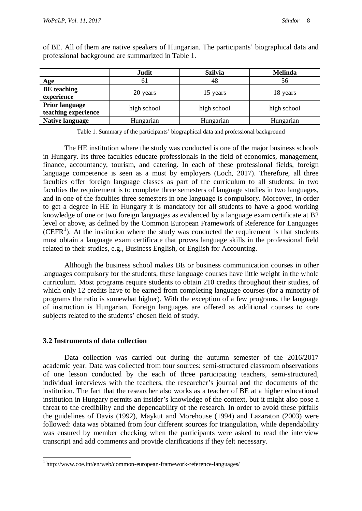|                                       | Judit       | <b>Szilvia</b> | <b>Melinda</b> |
|---------------------------------------|-------------|----------------|----------------|
| Age                                   | 61          | 48             | 56             |
| <b>BE</b> teaching<br>experience      | 20 years    | 15 years       | 18 years       |
| Prior language<br>teaching experience | high school | high school    | high school    |
| <b>Native language</b>                | Hungarian   | Hungarian      | Hungarian      |

of BE. All of them are native speakers of Hungarian. The participants' biographical data and professional background are summarized in Table 1.

Table 1. Summary of the participants' biographical data and professional background

The HE institution where the study was conducted is one of the major business schools in Hungary. Its three faculties educate professionals in the field of economics, management, finance, accountancy, tourism, and catering. In each of these professional fields, foreign language competence is seen as a must by employers (Loch, 2017). Therefore, all three faculties offer foreign language classes as part of the curriculum to all students: in two faculties the requirement is to complete three semesters of language studies in two languages, and in one of the faculties three semesters in one language is compulsory. Moreover, in order to get a degree in HE in Hungary it is mandatory for all students to have a good working knowledge of one or two foreign languages as evidenced by a language exam certificate at B2 level or above, as defined by the Common European Framework of Reference for Languages (CEFR<sup>[1](#page-7-0)</sup>). At the institution where the study was conducted the requirement is that students must obtain a language exam certificate that proves language skills in the professional field related to their studies, e.g., Business English, or English for Accounting.

Although the business school makes BE or business communication courses in other languages compulsory for the students, these language courses have little weight in the whole curriculum. Most programs require students to obtain 210 credits throughout their studies, of which only 12 credits have to be earned from completing language courses (for a minority of programs the ratio is somewhat higher). With the exception of a few programs, the language of instruction is Hungarian. Foreign languages are offered as additional courses to core subjects related to the students' chosen field of study.

#### **3.2 Instruments of data collection**

Data collection was carried out during the autumn semester of the 2016/2017 academic year. Data was collected from four sources: semi-structured classroom observations of one lesson conducted by the each of three participating teachers, semi-structured, individual interviews with the teachers, the researcher's journal and the documents of the institution. The fact that the researcher also works as a teacher of BE at a higher educational institution in Hungary permits an insider's knowledge of the context, but it might also pose a threat to the credibility and the dependability of the research. In order to avoid these pitfalls the guidelines of Davis (1992), Maykut and Morehouse (1994) and Lazaraton (2003) were followed: data was obtained from four different sources for triangulation, while dependability was ensured by member checking when the participants were asked to read the interview transcript and add comments and provide clarifications if they felt necessary.

<span id="page-7-0"></span> <sup>1</sup> http://www.coe.int/en/web/common-european-framework-reference-languages/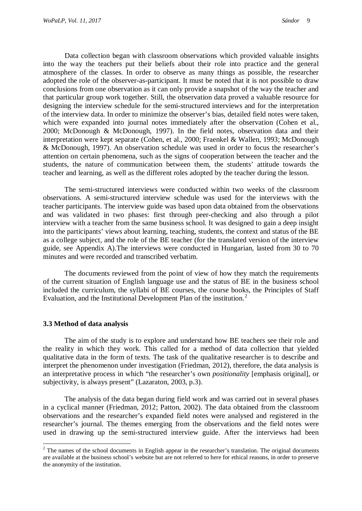Data collection began with classroom observations which provided valuable insights into the way the teachers put their beliefs about their role into practice and the general atmosphere of the classes. In order to observe as many things as possible, the researcher adopted the role of the observer-as-participant. It must be noted that it is not possible to draw conclusions from one observation as it can only provide a snapshot of the way the teacher and that particular group work together. Still, the observation data proved a valuable resource for designing the interview schedule for the semi-structured interviews and for the interpretation of the interview data. In order to minimize the observer's bias, detailed field notes were taken, which were expanded into journal notes immediately after the observation (Cohen et al., 2000; McDonough & McDonough, 1997). In the field notes, observation data and their interpretation were kept separate (Cohen, et al., 2000; Fraenkel & Wallen, 1993; McDonough & McDonough, 1997). An observation schedule was used in order to focus the researcher's attention on certain phenomena, such as the signs of cooperation between the teacher and the students, the nature of communication between them, the students' attitude towards the teacher and learning, as well as the different roles adopted by the teacher during the lesson.

The semi-structured interviews were conducted within two weeks of the classroom observations. A semi-structured interview schedule was used for the interviews with the teacher participants. The interview guide was based upon data obtained from the observations and was validated in two phases: first through peer-checking and also through a pilot interview with a teacher from the same business school. It was designed to gain a deep insight into the participants' views about learning, teaching, students, the context and status of the BE as a college subject, and the role of the BE teacher (for the translated version of the interview guide, see Appendix A).The interviews were conducted in Hungarian, lasted from 30 to 70 minutes and were recorded and transcribed verbatim.

The documents reviewed from the point of view of how they match the requirements of the current situation of English language use and the status of BE in the business school included the curriculum, the syllabi of BE courses, the course books, the Principles of Staff Evaluation, and the Institutional Development Plan of the institution.<sup>[2](#page-8-0)</sup>

#### **3.3 Method of data analysis**

The aim of the study is to explore and understand how BE teachers see their role and the reality in which they work. This called for a method of data collection that yielded qualitative data in the form of texts. The task of the qualitative researcher is to describe and interpret the phenomenon under investigation (Friedman, 2012), therefore, the data analysis is an interpretative process in which "the researcher's own *positionality* [emphasis original], or subjectivity, is always present" (Lazaraton, 2003, p.3).

The analysis of the data began during field work and was carried out in several phases in a cyclical manner (Friedman, 2012; Patton, 2002). The data obtained from the classroom observations and the researcher's expanded field notes were analysed and registered in the researcher's journal. The themes emerging from the observations and the field notes were used in drawing up the semi-structured interview guide. After the interviews had been

<span id="page-8-0"></span><sup>&</sup>lt;sup>2</sup> The names of the school documents in English appear in the researcher's translation. The original documents are available at the business school's website but are not referred to here for ethical reasons, in order to preserve the anonymity of the institution.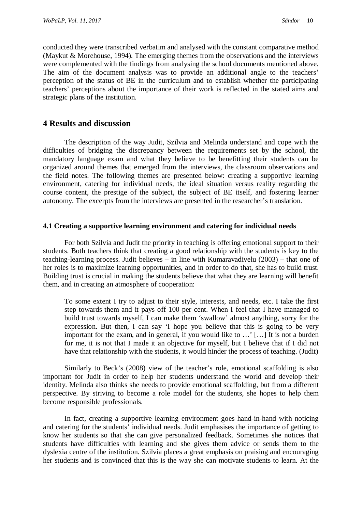conducted they were transcribed verbatim and analysed with the constant comparative method (Maykut & Morehouse, 1994). The emerging themes from the observations and the interviews were complemented with the findings from analysing the school documents mentioned above. The aim of the document analysis was to provide an additional angle to the teachers' perception of the status of BE in the curriculum and to establish whether the participating teachers' perceptions about the importance of their work is reflected in the stated aims and strategic plans of the institution.

# **4 Results and discussion**

The description of the way Judit, Szilvia and Melinda understand and cope with the difficulties of bridging the discrepancy between the requirements set by the school, the mandatory language exam and what they believe to be benefitting their students can be organized around themes that emerged from the interviews, the classroom observations and the field notes. The following themes are presented below: creating a supportive learning environment, catering for individual needs, the ideal situation versus reality regarding the course content, the prestige of the subject, the subject of BE itself, and fostering learner autonomy. The excerpts from the interviews are presented in the researcher's translation.

#### **4.1 Creating a supportive learning environment and catering for individual needs**

For both Szilvia and Judit the priority in teaching is offering emotional support to their students. Both teachers think that creating a good relationship with the students is key to the teaching-learning process. Judit believes – in line with Kumaravadivelu (2003) – that one of her roles is to maximize learning opportunities, and in order to do that, she has to build trust. Building trust is crucial in making the students believe that what they are learning will benefit them, and in creating an atmosphere of cooperation:

To some extent I try to adjust to their style, interests, and needs, etc. I take the first step towards them and it pays off 100 per cent. When I feel that I have managed to build trust towards myself, I can make them 'swallow' almost anything, sorry for the expression. But then, I can say 'I hope you believe that this is going to be very important for the exam, and in general, if you would like to …' […] It is not a burden for me, it is not that I made it an objective for myself, but I believe that if I did not have that relationship with the students, it would hinder the process of teaching. (Judit)

Similarly to Beck's (2008) view of the teacher's role, emotional scaffolding is also important for Judit in order to help her students understand the world and develop their identity. Melinda also thinks she needs to provide emotional scaffolding, but from a different perspective. By striving to become a role model for the students, she hopes to help them become responsible professionals.

In fact, creating a supportive learning environment goes hand-in-hand with noticing and catering for the students' individual needs. Judit emphasises the importance of getting to know her students so that she can give personalized feedback. Sometimes she notices that students have difficulties with learning and she gives them advice or sends them to the dyslexia centre of the institution. Szilvia places a great emphasis on praising and encouraging her students and is convinced that this is the way she can motivate students to learn. At the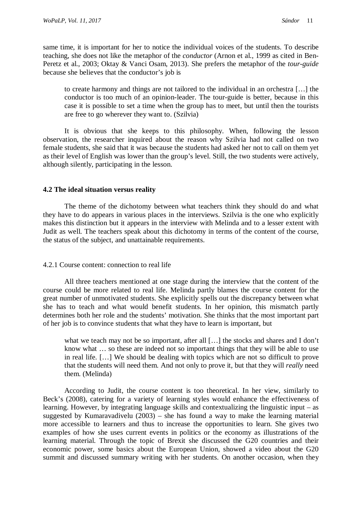same time, it is important for her to notice the individual voices of the students. To describe teaching, she does not like the metaphor of the *conductor* (Arnon et al., 1999 as cited in Ben-Peretz et al., 2003; Oktay & Vanci Osam, 2013). She prefers the metaphor of the *tour-guide* because she believes that the conductor's job is

to create harmony and things are not tailored to the individual in an orchestra […] the conductor is too much of an opinion-leader. The tour-guide is better, because in this case it is possible to set a time when the group has to meet, but until then the tourists are free to go wherever they want to. (Szilvia)

It is obvious that she keeps to this philosophy. When, following the lesson observation, the researcher inquired about the reason why Szilvia had not called on two female students, she said that it was because the students had asked her not to call on them yet as their level of English was lower than the group's level. Still, the two students were actively, although silently, participating in the lesson.

## **4.2 The ideal situation versus reality**

The theme of the dichotomy between what teachers think they should do and what they have to do appears in various places in the interviews. Szilvia is the one who explicitly makes this distinction but it appears in the interview with Melinda and to a lesser extent with Judit as well. The teachers speak about this dichotomy in terms of the content of the course, the status of the subject, and unattainable requirements.

#### 4.2.1 Course content: connection to real life

All three teachers mentioned at one stage during the interview that the content of the course could be more related to real life. Melinda partly blames the course content for the great number of unmotivated students. She explicitly spells out the discrepancy between what she has to teach and what would benefit students. In her opinion, this mismatch partly determines both her role and the students' motivation. She thinks that the most important part of her job is to convince students that what they have to learn is important, but

what we teach may not be so important, after all [...] the stocks and shares and I don't know what … so these are indeed not so important things that they will be able to use in real life. […] We should be dealing with topics which are not so difficult to prove that the students will need them. And not only to prove it, but that they will *really* need them. (Melinda)

According to Judit, the course content is too theoretical. In her view, similarly to Beck's (2008), catering for a variety of learning styles would enhance the effectiveness of learning. However, by integrating language skills and contextualizing the linguistic input – as suggested by Kumaravadivelu (2003) – she has found a way to make the learning material more accessible to learners and thus to increase the opportunities to learn. She gives two examples of how she uses current events in politics or the economy as illustrations of the learning material. Through the topic of Brexit she discussed the G20 countries and their economic power, some basics about the European Union, showed a video about the G20 summit and discussed summary writing with her students. On another occasion, when they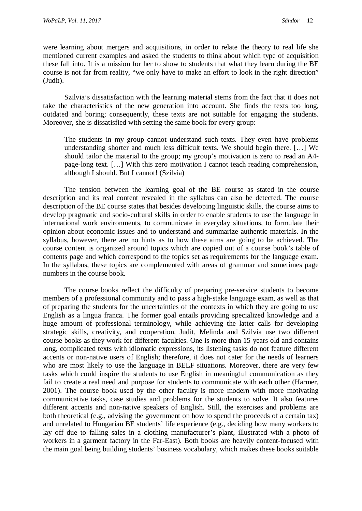were learning about mergers and acquisitions, in order to relate the theory to real life she mentioned current examples and asked the students to think about which type of acquisition these fall into. It is a mission for her to show to students that what they learn during the BE course is not far from reality, "we only have to make an effort to look in the right direction" (Judit).

Szilvia's dissatisfaction with the learning material stems from the fact that it does not take the characteristics of the new generation into account. She finds the texts too long, outdated and boring; consequently, these texts are not suitable for engaging the students. Moreover, she is dissatisfied with setting the same book for every group:

The students in my group cannot understand such texts. They even have problems understanding shorter and much less difficult texts. We should begin there. […] We should tailor the material to the group; my group's motivation is zero to read an A4 page-long text. […] With this zero motivation I cannot teach reading comprehension, although I should. But I cannot! (Szilvia)

The tension between the learning goal of the BE course as stated in the course description and its real content revealed in the syllabus can also be detected. The course description of the BE course states that besides developing linguistic skills, the course aims to develop pragmatic and socio-cultural skills in order to enable students to use the language in international work environments, to communicate in everyday situations, to formulate their opinion about economic issues and to understand and summarize authentic materials. In the syllabus, however, there are no hints as to how these aims are going to be achieved. The course content is organized around topics which are copied out of a course book's table of contents page and which correspond to the topics set as requirements for the language exam. In the syllabus, these topics are complemented with areas of grammar and sometimes page numbers in the course book.

The course books reflect the difficulty of preparing pre-service students to become members of a professional community and to pass a high-stake language exam, as well as that of preparing the students for the uncertainties of the contexts in which they are going to use English as a lingua franca. The former goal entails providing specialized knowledge and a huge amount of professional terminology, while achieving the latter calls for developing strategic skills, creativity, and cooperation. Judit, Melinda and Szilvia use two different course books as they work for different faculties. One is more than 15 years old and contains long, complicated texts with idiomatic expressions, its listening tasks do not feature different accents or non-native users of English; therefore, it does not cater for the needs of learners who are most likely to use the language in BELF situations. Moreover, there are very few tasks which could inspire the students to use English in meaningful communication as they fail to create a real need and purpose for students to communicate with each other (Harmer, 2001). The course book used by the other faculty is more modern with more motivating communicative tasks, case studies and problems for the students to solve. It also features different accents and non-native speakers of English. Still, the exercises and problems are both theoretical (e.g., advising the government on how to spend the proceeds of a certain tax) and unrelated to Hungarian BE students' life experience (e.g., deciding how many workers to lay off due to falling sales in a clothing manufacturer's plant, illustrated with a photo of workers in a garment factory in the Far-East). Both books are heavily content-focused with the main goal being building students' business vocabulary, which makes these books suitable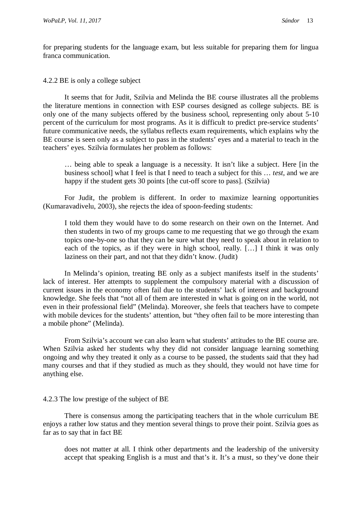for preparing students for the language exam, but less suitable for preparing them for lingua franca communication.

#### 4.2.2 BE is only a college subject

It seems that for Judit, Szilvia and Melinda the BE course illustrates all the problems the literature mentions in connection with ESP courses designed as college subjects. BE is only one of the many subjects offered by the business school, representing only about 5-10 percent of the curriculum for most programs. As it is difficult to predict pre-service students' future communicative needs, the syllabus reflects exam requirements, which explains why the BE course is seen only as a subject to pass in the students' eyes and a material to teach in the teachers' eyes. Szilvia formulates her problem as follows:

… being able to speak a language is a necessity. It isn't like a subject. Here [in the business school] what I feel is that I need to teach a subject for this … *test*, and we are happy if the student gets 30 points [the cut-off score to pass]. (Szilvia)

For Judit, the problem is different. In order to maximize learning opportunities (Kumaravadivelu, 2003), she rejects the idea of spoon-feeding students:

I told them they would have to do some research on their own on the Internet. And then students in two of my groups came to me requesting that we go through the exam topics one-by-one so that they can be sure what they need to speak about in relation to each of the topics, as if they were in high school, really. […] I think it was only laziness on their part, and not that they didn't know. (Judit)

In Melinda's opinion, treating BE only as a subject manifests itself in the students' lack of interest. Her attempts to supplement the compulsory material with a discussion of current issues in the economy often fail due to the students' lack of interest and background knowledge. She feels that "not all of them are interested in what is going on in the world, not even in their professional field" (Melinda). Moreover, she feels that teachers have to compete with mobile devices for the students' attention, but "they often fail to be more interesting than a mobile phone" (Melinda).

From Szilvia's account we can also learn what students' attitudes to the BE course are. When Szilvia asked her students why they did not consider language learning something ongoing and why they treated it only as a course to be passed, the students said that they had many courses and that if they studied as much as they should, they would not have time for anything else.

# 4.2.3 The low prestige of the subject of BE

There is consensus among the participating teachers that in the whole curriculum BE enjoys a rather low status and they mention several things to prove their point. Szilvia goes as far as to say that in fact BE

does not matter at all. I think other departments and the leadership of the university accept that speaking English is a must and that's it. It's a must, so they've done their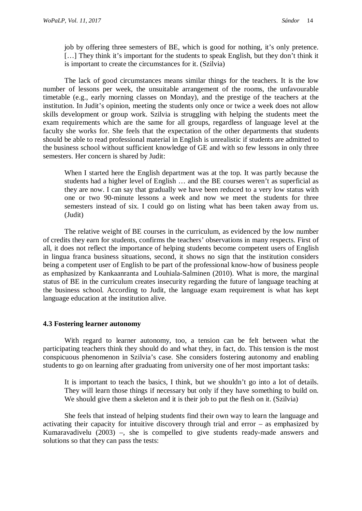job by offering three semesters of BE, which is good for nothing, it's only pretence. [...] They think it's important for the students to speak English, but they don't think it is important to create the circumstances for it. (Szilvia)

The lack of good circumstances means similar things for the teachers. It is the low number of lessons per week, the unsuitable arrangement of the rooms, the unfavourable timetable (e.g., early morning classes on Monday), and the prestige of the teachers at the institution. In Judit's opinion, meeting the students only once or twice a week does not allow skills development or group work. Szilvia is struggling with helping the students meet the exam requirements which are the same for all groups, regardless of language level at the faculty she works for. She feels that the expectation of the other departments that students should be able to read professional material in English is unrealistic if students are admitted to the business school without sufficient knowledge of GE and with so few lessons in only three semesters. Her concern is shared by Judit:

When I started here the English department was at the top. It was partly because the students had a higher level of English … and the BE courses weren't as superficial as they are now. I can say that gradually we have been reduced to a very low status with one or two 90-minute lessons a week and now we meet the students for three semesters instead of six. I could go on listing what has been taken away from us. (Judit)

The relative weight of BE courses in the curriculum, as evidenced by the low number of credits they earn for students, confirms the teachers' observations in many respects. First of all, it does not reflect the importance of helping students become competent users of English in lingua franca business situations, second, it shows no sign that the institution considers being a competent user of English to be part of the professional know-how of business people as emphasized by Kankaanranta and Louhiala-Salminen (2010). What is more, the marginal status of BE in the curriculum creates insecurity regarding the future of language teaching at the business school. According to Judit, the language exam requirement is what has kept language education at the institution alive.

#### **4.3 Fostering learner autonomy**

With regard to learner autonomy, too, a tension can be felt between what the participating teachers think they should do and what they, in fact, do. This tension is the most conspicuous phenomenon in Szilvia's case. She considers fostering autonomy and enabling students to go on learning after graduating from university one of her most important tasks:

It is important to teach the basics, I think, but we shouldn't go into a lot of details. They will learn those things if necessary but only if they have something to build on. We should give them a skeleton and it is their job to put the flesh on it. (Szilvia)

She feels that instead of helping students find their own way to learn the language and activating their capacity for intuitive discovery through trial and error – as emphasized by Kumaravadivelu (2003) –, she is compelled to give students ready-made answers and solutions so that they can pass the tests: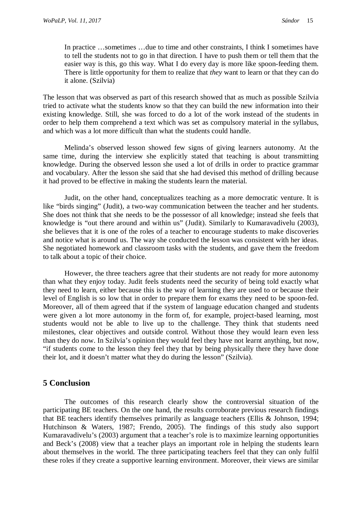In practice …sometimes …due to time and other constraints, I think I sometimes have to tell the students not to go in that direction. I have to push them or tell them that the easier way is this, go this way. What I do every day is more like spoon-feeding them. There is little opportunity for them to realize that *they* want to learn or that they can do it alone. (Szilvia)

The lesson that was observed as part of this research showed that as much as possible Szilvia tried to activate what the students know so that they can build the new information into their existing knowledge. Still, she was forced to do a lot of the work instead of the students in order to help them comprehend a text which was set as compulsory material in the syllabus, and which was a lot more difficult than what the students could handle.

Melinda's observed lesson showed few signs of giving learners autonomy. At the same time, during the interview she explicitly stated that teaching is about transmitting knowledge. During the observed lesson she used a lot of drills in order to practice grammar and vocabulary. After the lesson she said that she had devised this method of drilling because it had proved to be effective in making the students learn the material.

Judit, on the other hand, conceptualizes teaching as a more democratic venture. It is like "birds singing" (Judit), a two-way communication between the teacher and her students. She does not think that she needs to be the possessor of all knowledge; instead she feels that knowledge is "out there around and within us" (Judit). Similarly to Kumaravadivelu (2003), she believes that it is one of the roles of a teacher to encourage students to make discoveries and notice what is around us. The way she conducted the lesson was consistent with her ideas. She negotiated homework and classroom tasks with the students, and gave them the freedom to talk about a topic of their choice.

However, the three teachers agree that their students are not ready for more autonomy than what they enjoy today. Judit feels students need the security of being told exactly what they need to learn, either because this is the way of learning they are used to or because their level of English is so low that in order to prepare them for exams they need to be spoon-fed. Moreover, all of them agreed that if the system of language education changed and students were given a lot more autonomy in the form of, for example, project-based learning, most students would not be able to live up to the challenge. They think that students need milestones, clear objectives and outside control. Without those they would learn even less than they do now. In Szilvia's opinion they would feel they have not learnt anything, but now, "if students come to the lesson they feel they that by being physically there they have done their lot, and it doesn't matter what they do during the lesson" (Szilvia).

# **5 Conclusion**

The outcomes of this research clearly show the controversial situation of the participating BE teachers. On the one hand, the results corroborate previous research findings that BE teachers identify themselves primarily as language teachers (Ellis & Johnson, 1994; Hutchinson & Waters, 1987; Frendo, 2005). The findings of this study also support Kumaravadivelu's (2003) argument that a teacher's role is to maximize learning opportunities and Beck's (2008) view that a teacher plays an important role in helping the students learn about themselves in the world. The three participating teachers feel that they can only fulfil these roles if they create a supportive learning environment. Moreover, their views are similar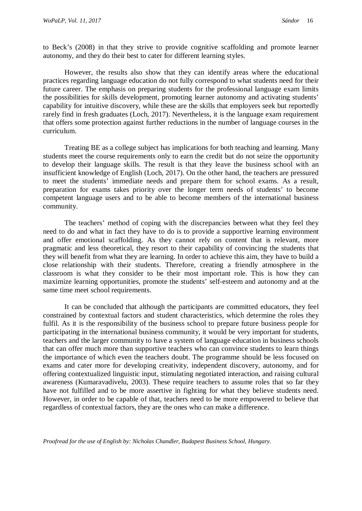to Beck's (2008) in that they strive to provide cognitive scaffolding and promote learner autonomy, and they do their best to cater for different learning styles.

However, the results also show that they can identify areas where the educational practices regarding language education do not fully correspond to what students need for their future career. The emphasis on preparing students for the professional language exam limits the possibilities for skills development, promoting learner autonomy and activating students' capability for intuitive discovery, while these are the skills that employers seek but reportedly rarely find in fresh graduates (Loch, 2017). Nevertheless, it is the language exam requirement that offers some protection against further reductions in the number of language courses in the curriculum.

Treating BE as a college subject has implications for both teaching and learning. Many students meet the course requirements only to earn the credit but do not seize the opportunity to develop their language skills. The result is that they leave the business school with an insufficient knowledge of English (Loch, 2017). On the other hand, the teachers are pressured to meet the students' immediate needs and prepare them for school exams. As a result, preparation for exams takes priority over the longer term needs of students' to become competent language users and to be able to become members of the international business community.

The teachers' method of coping with the discrepancies between what they feel they need to do and what in fact they have to do is to provide a supportive learning environment and offer emotional scaffolding. As they cannot rely on content that is relevant, more pragmatic and less theoretical, they resort to their capability of convincing the students that they will benefit from what they are learning. In order to achieve this aim, they have to build a close relationship with their students. Therefore, creating a friendly atmosphere in the classroom is what they consider to be their most important role. This is how they can maximize learning opportunities, promote the students' self-esteem and autonomy and at the same time meet school requirements.

It can be concluded that although the participants are committed educators, they feel constrained by contextual factors and student characteristics, which determine the roles they fulfil. As it is the responsibility of the business school to prepare future business people for participating in the international business community, it would be very important for students, teachers and the larger community to have a system of language education in business schools that can offer much more than supportive teachers who can convince students to learn things the importance of which even the teachers doubt. The programme should be less focused on exams and cater more for developing creativity, independent discovery, autonomy, and for offering contextualized linguistic input, stimulating negotiated interaction, and raising cultural awareness (Kumaravadivelu, 2003). These require teachers to assume roles that so far they have not fulfilled and to be more assertive in fighting for what they believe students need. However, in order to be capable of that, teachers need to be more empowered to believe that regardless of contextual factors, they are the ones who can make a difference.

*Proofread for the use of English by: Nicholas Chandler, Budapest Business School, Hungary.*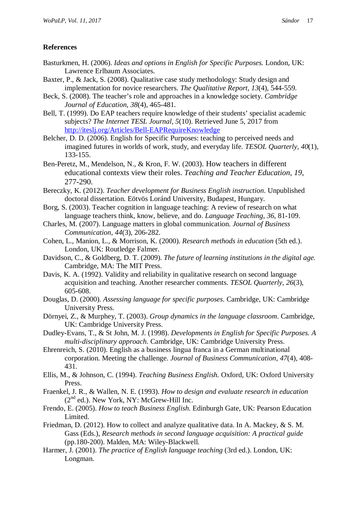# **References**

- Basturkmen, H. (2006). *Ideas and options in English for Specific Purposes.* London, UK: Lawrence Erlbaum Associates.
- Baxter, P., & Jack, S. (2008). Qualitative case study methodology: Study design and implementation for novice researchers. *The Qualitative Report, 13*(4), 544-559.
- Beck, S. (2008). The teacher's role and approaches in a knowledge society. *Cambridge Journal of Education, 38*(4), 465-481.
- Bell, T. (1999). Do EAP teachers require knowledge of their students' specialist academic subjects? *The Internet TESL Journal, 5*(10). Retrieved June 5, 2017 from <http://iteslj.org/Articles/Bell-EAPRequireKnowledge>
- Belcher, D. D. (2006). English for Specific Purposes: teaching to perceived needs and imagined futures in worlds of work, study, and everyday life. *TESOL Quarterly, 40*(1), 133-155.
- Ben-Peretz, M., Mendelson, N., & Kron, F. W. (2003). How teachers in different educational contexts view their roles. *Teaching and Teacher Education, 19*, 277-290.
- Bereczky, K. (2012). *Teacher development for Business English instruction*. Unpublished doctoral dissertation. Eötvös Loránd University, Budapest, Hungary.
- Borg, S. (2003). Teacher cognition in language teaching: A review of research on what language teachers think, know, believe, and do. *Language Teaching, 36,* 81-109.
- Charles, M. (2007). Language matters in global communication. *Journal of Business Communication, 44*(3), 206-282.
- Cohen, L., Manion, L., & Morrison, K. (2000). *Research methods in education* (5th ed.). London, UK: Routledge Falmer.
- Davidson, C., & Goldberg, D. T. (2009). *The future of learning institutions in the digital age.* Cambridge, MA: The MIT Press.
- Davis, K. A. (1992). Validity and reliability in qualitative research on second language acquisition and teaching. Another researcher comments. *TESOL Quarterly, 26*(3), 605-608.
- Douglas, D. (2000). *Assessing language for specific purposes*. Cambridge, UK: Cambridge University Press.
- Dörnyei, Z., & Murphey, T. (2003). *Group dynamics in the language classroom*. Cambridge, UK: Cambridge University Press.
- Dudley-Evans, T., & St John, M. J. (1998). *Developments in English for Specific Purposes. A multi-disciplinary approach*. Cambridge, UK: Cambridge University Press.
- Ehrenreich, S. (2010). English as a business lingua franca in a German multinational corporation. Meeting the challenge. *Journal of Business Communication, 47*(4), 408- 431.
- Ellis, M., & Johnson, C. (1994). *Teaching Business English.* Oxford, UK: Oxford University Press.
- Fraenkel, J. R., & Wallen, N. E. (1993). *How to design and evaluate research in education*  $(2<sup>nd</sup>$  ed.). New York, NY: McGrew-Hill Inc.
- Frendo, E. (2005). *How to teach Business English*. Edinburgh Gate, UK: Pearson Education Limited.
- Friedman, D. (2012). How to collect and analyze qualitative data. In A. Mackey, & S. M. Gass (Eds.), *Research methods in second language acquisition: A practical guide* (pp.180-200). Malden, MA: Wiley-Blackwell.
- Harmer, J. (2001). *The practice of English language teaching* (3rd ed.). London, UK: Longman.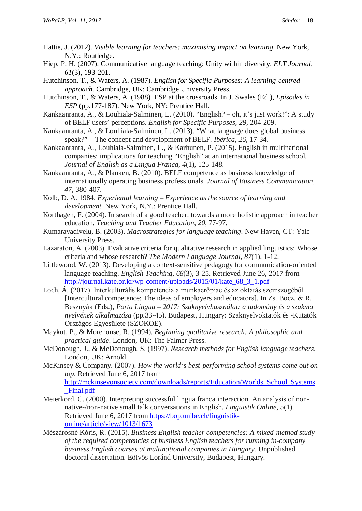- Hattie, J. (2012). *Visible learning for teachers: maximising impact on learning*. New York, N.Y.: Routledge.
- Hiep, P. H. (2007). Communicative language teaching: Unity within diversity. *ELT Journal, 61*(3), 193-201.
- Hutchinson, T., & Waters, A. (1987). *English for Specific Purposes: A learning-centred approach*. Cambridge, UK: Cambridge University Press.
- Hutchinson, T., & Waters, A. (1988). ESP at the crossroads. In J. Swales (Ed.), *Episodes in ESP* (pp.177-187). New York, NY: Prentice Hall.
- Kankaanranta, A., & Louhiala-Salminen, L. (2010). "English? oh, it's just work!": A study of BELF users' perceptions. *English for Specific Purposes, 29*, 204-209.
- Kankaanranta, A., & Louhiala-Salminen, L. (2013). "What language does global business speak?" – The concept and development of BELF. *Ibérica, 26*, 17-34.
- Kankaanranta, A., Louhiala-Salminen, L., & Karhunen, P. (2015). English in multinational companies: implications for teaching "English" at an international business school. *Journal of English as a Lingua Franca, 4*(1), 125-148.
- Kankaanranta, A., & Planken, B. (2010). BELF competence as business knowledge of internationally operating business professionals. *Journal of Business Communication, 47*, 380-407.
- Kolb, D. A. 1984. *Experiental learning – Experience as the source of learning and development.* New York, N.Y.: Prentice Hall.
- Korthagen, F. (2004). In search of a good teacher: towards a more holistic approach in teacher education. *Teaching and Teacher Education, 20*, 77-97.
- Kumaravadivelu, B. (2003). *Macrostrategies for language teaching*. New Haven, CT: Yale University Press.
- Lazaraton, A. (2003). Evaluative criteria for qualitative research in applied linguistics: Whose criteria and whose research? *The Modern Language Journal*, *87*(1), 1-12.
- Littlewood, W. (2013). Developing a context-sensitive pedagogy for communication-oriented language teaching. *English Teaching, 68*(3), 3-25. Retrieved June 26, 2017 from [http://journal.kate.or.kr/wp-content/uploads/2015/01/kate\\_68\\_3\\_1.pdf](http://journal.kate.or.kr/wp-content/uploads/2015/01/kate_68_3_1.pdf)
- Loch, Á. (2017). Interkulturális kompetencia a munkaerőpiac és az oktatás szemszögéből [Intercultural competence: The ideas of employers and educators]. In Zs. Bocz, & R. Besznyák (Eds.), *Porta Lingua – 2017: Szaknyelvhasználat: a tudomány és a szakma nyelvének alkalmazása* (pp*.*33-45). Budapest, Hungary: Szaknyelvoktatók és -Kutatók Országos Egyesülete (SZOKOE).
- Maykut, P., & Morehouse, R. (1994). *Beginning qualitative research: A philosophic and practical guide*. London, UK: The Falmer Press.
- McDonough, J., & McDonough, S. (1997). *Research methods for English language teachers*. London, UK: Arnold.
- McKinsey & Company. (2007). *How the world's best-performing school systems come out on top*. Retrieved June 6, 2017 from [http://mckinseyonsociety.com/downloads/reports/Education/Worlds\\_School\\_Systems](http://mckinseyonsociety.com/downloads/reports/Education/Worlds_School_Systems_Final.pdf) [\\_Final.pdf](http://mckinseyonsociety.com/downloads/reports/Education/Worlds_School_Systems_Final.pdf)
- Meierkord, C. (2000). Interpreting successful lingua franca interaction. An analysis of nonnative-/non-native small talk conversations in English. *Linguistik Online, 5*(1). Retrieved June 6, 2017 from [https://bop.unibe.ch/linguistik](https://bop.unibe.ch/linguistik-online/article/view/1013/1673)[online/article/view/1013/1673](https://bop.unibe.ch/linguistik-online/article/view/1013/1673)
- Mészárosné Kóris, R. (2015). *Business English teacher competencies: A mixed-method study of the required competencies of business English teachers for running in-company business English courses at multinational companies in Hungary.* Unpublished doctoral dissertation. Eötvös Loránd University, Budapest, Hungary.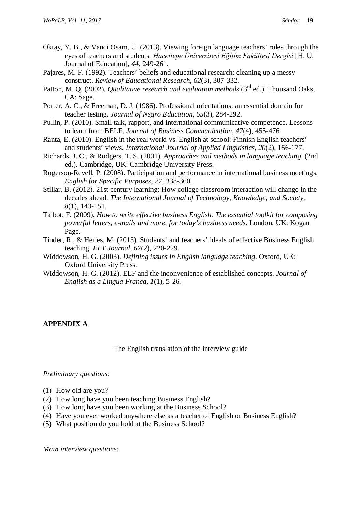- Oktay, Y. B., & Vanci Osam, Ü. (2013). Viewing foreign language teachers' roles through the eyes of teachers and students. *Hacettepe Üniversitesi Eğitim Fakültesi Dergisi* [H. U. Journal of Education], *44*, 249-261.
- Pajares, M. F. (1992). Teachers' beliefs and educational research: cleaning up a messy construct. *Review of Educational Research, 62*(3), 307-332.
- Patton, M. Q. (2002). *Qualitative research and evaluation methods* (3<sup>rd</sup> ed.). Thousand Oaks, CA: Sage.
- Porter, A. C., & Freeman, D. J. (1986). Professional orientations: an essential domain for teacher testing. *Journal of Negro Education, 55*(3), 284-292.
- Pullin, P. (2010). Small talk, rapport, and international communicative competence. Lessons to learn from BELF. *Journal of Business Communication, 47*(4), 455-476.
- Ranta, E. (2010). English in the real world vs. English at school: Finnish English teachers' and students' views. *International Journal of Applied Linguistics, 20*(2), 156-177.
- Richards, J. C., & Rodgers, T. S. (2001). *Approaches and methods in language teaching*. (2nd ed.). Cambridge, UK: Cambridge University Press.
- Rogerson-Revell, P. (2008). Participation and performance in international business meetings. *English for Specific Purposes, 27*, 338-360.
- Stillar, B. (2012). 21st century learning: How college classroom interaction will change in the decades ahead. *The International Journal of Technology, Knowledge, and Society, 8*(1), 143-151.
- Talbot, F. (2009). *How to write effective business English. The essential toolkit for composing powerful letters, e-mails and more, for today's business needs*. London, UK: Kogan Page.
- Tinder, R., & Herles, M. (2013). Students' and teachers' ideals of effective Business English teaching. *ELT Journal, 67*(2), 220-229.
- Widdowson, H. G. (2003). *Defining issues in English language teaching*. Oxford, UK: Oxford University Press.
- Widdowson, H. G. (2012). ELF and the inconvenience of established concepts. *Journal of English as a Lingua Franca, 1*(1), 5-26.

# **APPENDIX A**

The English translation of the interview guide

#### *Preliminary questions:*

- (1) How old are you?
- (2) How long have you been teaching Business English?
- (3) How long have you been working at the Business School?
- (4) Have you ever worked anywhere else as a teacher of English or Business English?
- (5) What position do you hold at the Business School?

*Main interview questions:*